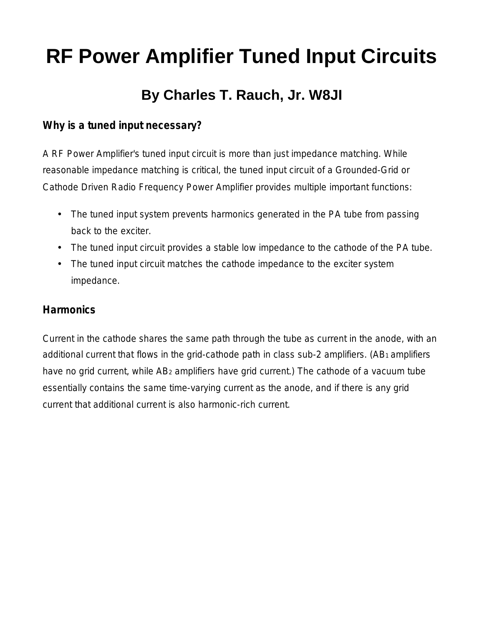# **RF Power Amplifier Tuned Input Circuits**

# **By Charles T. Rauch, Jr. W8JI**

#### **Why is a tuned input necessary?**

A RF Power Amplifier's tuned input circuit is more than just impedance matching. While reasonable impedance matching is critical, the tuned input circuit of a Grounded-Grid or Cathode Driven Radio Frequency Power Amplifier provides multiple important functions:

- The tuned input system prevents harmonics generated in the PA tube from passing back to the exciter.
- The tuned input circuit provides a stable low impedance to the cathode of the PA tube.
- The tuned input circuit matches the cathode impedance to the exciter system impedance.

#### **Harmonics**

Current in the cathode shares the same path through the tube as current in the anode, with an additional current that flows in the grid-cathode path in class sub-2 amplifiers. (AB1 amplifiers have no grid current, while AB<sub>2</sub> amplifiers have grid current.) The cathode of a vacuum tube essentially contains the same time-varying current as the anode, and if there is any grid current that additional current is also harmonic-rich current.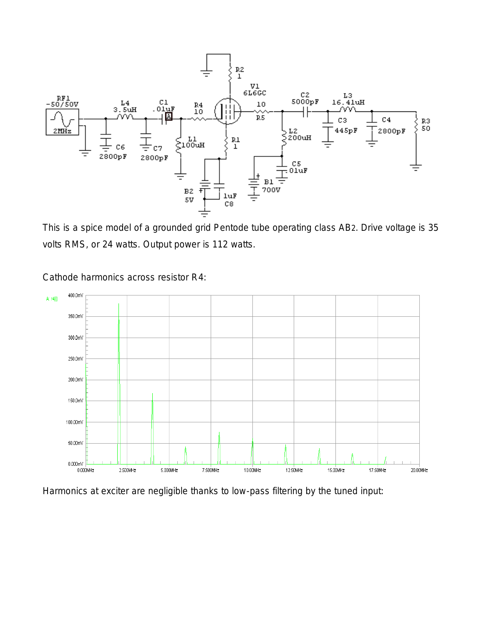

This is a spice model of a grounded grid Pentode tube operating class AB2. Drive voltage is 35 volts RMS, or 24 watts. Output power is 112 watts.



Cathode harmonics across resistor R4:

Harmonics at exciter are negligible thanks to low-pass filtering by the tuned input: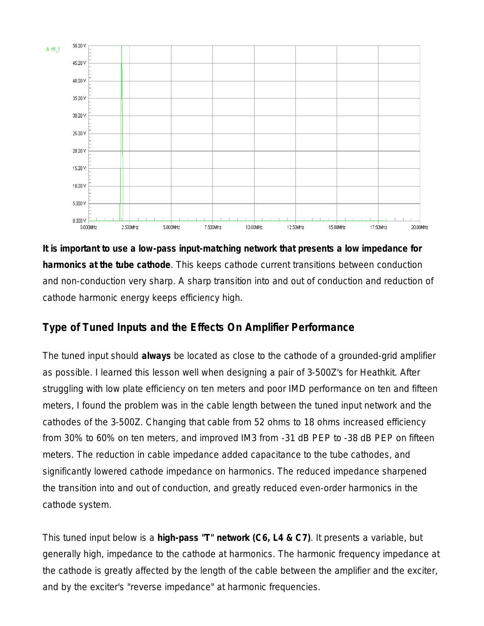

**It is important to use a low-pass input-matching network that presents a low impedance for harmonics at the tube cathode**. This keeps cathode current transitions between conduction and non-conduction very sharp. A sharp transition into and out of conduction and reduction of cathode harmonic energy keeps efficiency high.

## **Type of Tuned Inputs and the Effects On Amplifier Performance**

The tuned input should *always* be located as close to the cathode of a grounded-grid amplifier as possible. I learned this lesson well when designing a pair of 3-500Z's for Heathkit. After struggling with low plate efficiency on ten meters and poor IMD performance on ten and fifteen meters, I found the problem was in the cable length between the tuned input network and the cathodes of the 3-500Z. Changing that cable from 52 ohms to 18 ohms increased efficiency from 30% to 60% on ten meters, and improved IM3 from -31 dB PEP to -38 dB PEP on fifteen meters. The reduction in cable impedance added capacitance to the tube cathodes, and significantly lowered cathode impedance on harmonics. The reduced impedance sharpened the transition into and out of conduction, and greatly reduced even-order harmonics in the cathode system.

This tuned input below is a **high-pass "T" network (C6, L4 & C7)**. It presents a variable, but generally high, impedance to the cathode at harmonics. The harmonic frequency impedance at the cathode is greatly affected by the length of the cable between the amplifier and the exciter, and by the exciter's "reverse impedance" at harmonic frequencies.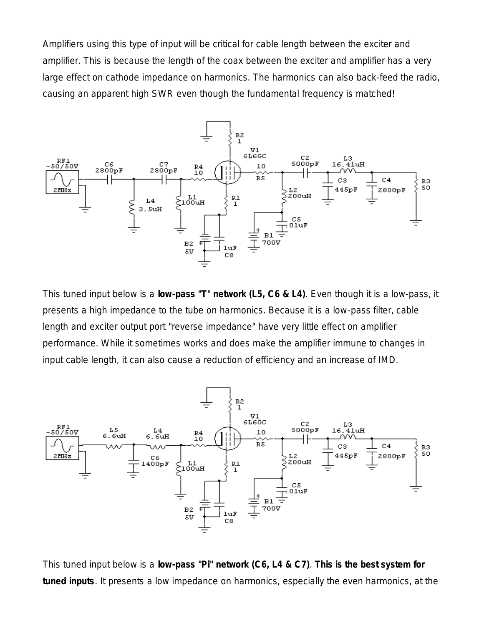Amplifiers using this type of input will be critical for cable length between the exciter and amplifier. This is because the length of the coax between the exciter and amplifier has a very large effect on cathode impedance on harmonics. The harmonics can also back-feed the radio, causing an apparent high SWR even though the fundamental frequency is matched!



This tuned input below is a **low-pass "T" network (L5, C6 & L4)**. Even though it is a low-pass, it presents a high impedance to the tube on harmonics. Because it is a low-pass filter, cable length and exciter output port "reverse impedance" have very little effect on amplifier performance. While it sometimes works and does make the amplifier immune to changes in input cable length, it can also cause a reduction of efficiency and an increase of IMD.



This tuned input below is a **low-pass "Pi" network (C6, L4 & C7)**. *This is the best system for tuned inputs*. It presents a low impedance on harmonics, especially the even harmonics, at the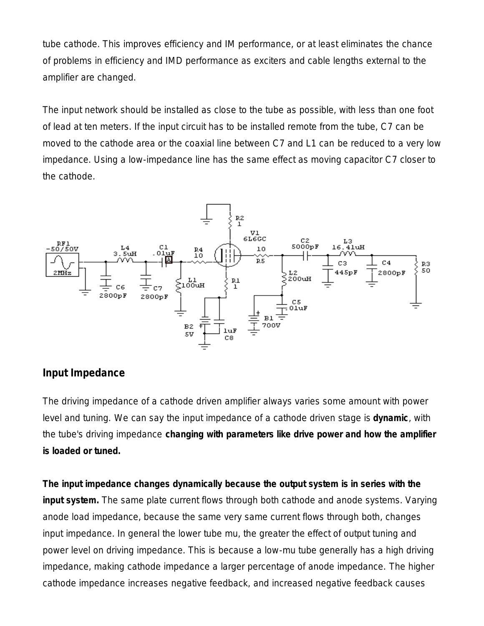tube cathode. This improves efficiency and IM performance, or at least eliminates the chance of problems in efficiency and IMD performance as exciters and cable lengths external to the amplifier are changed.

The input network should be installed as close to the tube as possible, with less than one foot of lead at ten meters. If the input circuit has to be installed remote from the tube, C7 can be moved to the cathode area or the coaxial line between C7 and L1 can be reduced to a very low impedance. Using a low-impedance line has the same effect as moving capacitor C7 closer to the cathode.



#### **Input Impedance**

*The driving impedance of a cathode driven amplifier always varies some amount with power level and tuning. We can say the input impedance of a cathode driven stage is dynamic, with the tube's driving impedance changing with parameters like drive power and how the amplifier is loaded or tuned.* 

**The input impedance changes dynamically because the output system is in series with the input system.** The same plate current flows through both cathode and anode systems. Varying anode load impedance, because the same very same current flows through both, changes input impedance. In general the lower tube mu, the greater the effect of output tuning and power level on driving impedance. This is because a low-mu tube generally has a high driving impedance, making cathode impedance a larger percentage of anode impedance. The higher cathode impedance increases negative feedback, and increased negative feedback causes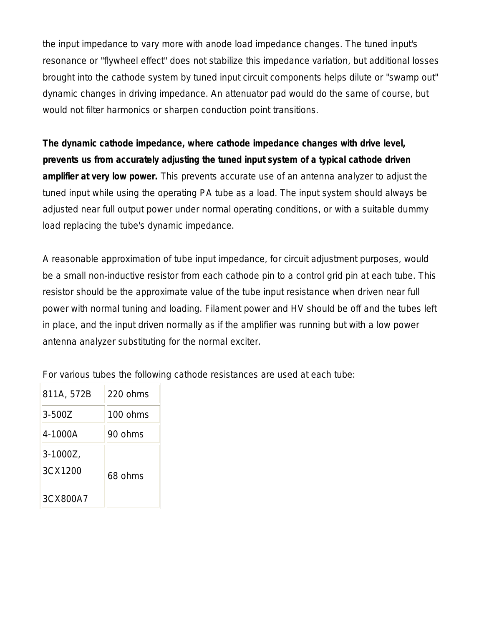the input impedance to vary more with anode load impedance changes. The tuned input's resonance or "flywheel effect" does not stabilize this impedance variation, but additional losses brought into the cathode system by tuned input circuit components helps dilute or "swamp out" dynamic changes in driving impedance. An attenuator pad would do the same of course, but would not filter harmonics or sharpen conduction point transitions.

**The dynamic cathode impedance, where cathode impedance changes with drive level, prevents us from accurately adjusting the tuned input system of a typical cathode driven amplifier at very low power.** This prevents accurate use of an antenna analyzer to adjust the tuned input while using the operating PA tube as a load. The input system should always be adjusted near full output power under normal operating conditions, or with a suitable dummy load replacing the tube's dynamic impedance.

A reasonable approximation of tube input impedance, for circuit adjustment purposes, would be a small non-inductive resistor from each cathode pin to a control grid pin at each tube. This resistor should be the approximate value of the tube input resistance when driven near full power with normal tuning and loading. Filament power and HV should be off and the tubes left in place, and the input driven normally as if the amplifier was running but with a low power antenna analyzer substituting for the normal exciter.

For various tubes the following cathode resistances are used at each tube:

| 811A, 572B             | 220 ohms |
|------------------------|----------|
| $3 - 5007$             | 100 ohms |
| 4-1000A                | 90 ohms  |
| $3 - 1000Z$<br>3CX1200 | 68 ohms  |
| 3CX800A7               |          |